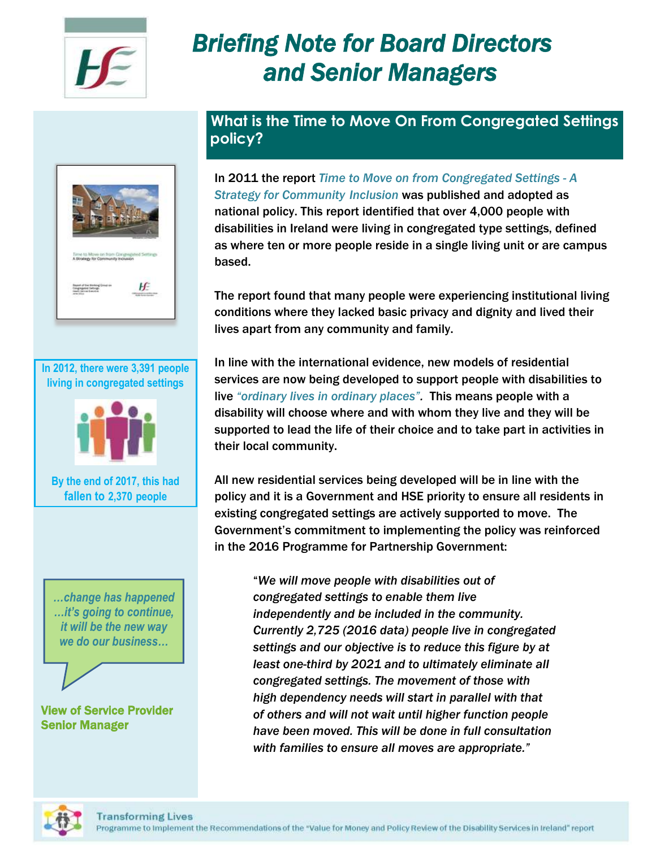

# *Briefing Note for Board Directors and Senior Managers*



**In 2012, there were 3,391 people living in congregated settings**



**By the end of 2017, this had fallen to 2,370 people**

*…change has happened …it's going to continue, it will be the new way we do our business…*

#### View of Service Provider Senior Manager

**What is the Time to Move On From Congregated Settings policy?**

In 2011 the report *Time to Move on from Congregated Settings - A Strategy for Community Inclusion* was published and adopted as national policy. This report identified that over 4,000 people with disabilities in Ireland were living in congregated type settings, defined as where ten or more people reside in a single living unit or are campus based.

The report found that many people were experiencing institutional living conditions where they lacked basic privacy and dignity and lived their lives apart from any community and family.

In line with the international evidence, new models of residential services are now being developed to support people with disabilities to live *"ordinary lives in ordinary places".* This means people with a disability will choose where and with whom they live and they will be supported to lead the life of their choice and to take part in activities in their local community.

All new residential services being developed will be in line with the policy and it is a Government and HSE priority to ensure all residents in existing congregated settings are actively supported to move. The Government's commitment to implementing the policy was reinforced in the 2016 Programme for Partnership Government:

"*We will move people with disabilities out of congregated settings to enable them live independently and be included in the community. Currently 2,725 (2016 data) people live in congregated settings and our objective is to reduce this figure by at least one-third by 2021 and to ultimately eliminate all congregated settings. The movement of those with high dependency needs will start in parallel with that of others and will not wait until higher function people have been moved. This will be done in full consultation with families to ensure all moves are appropriate."*

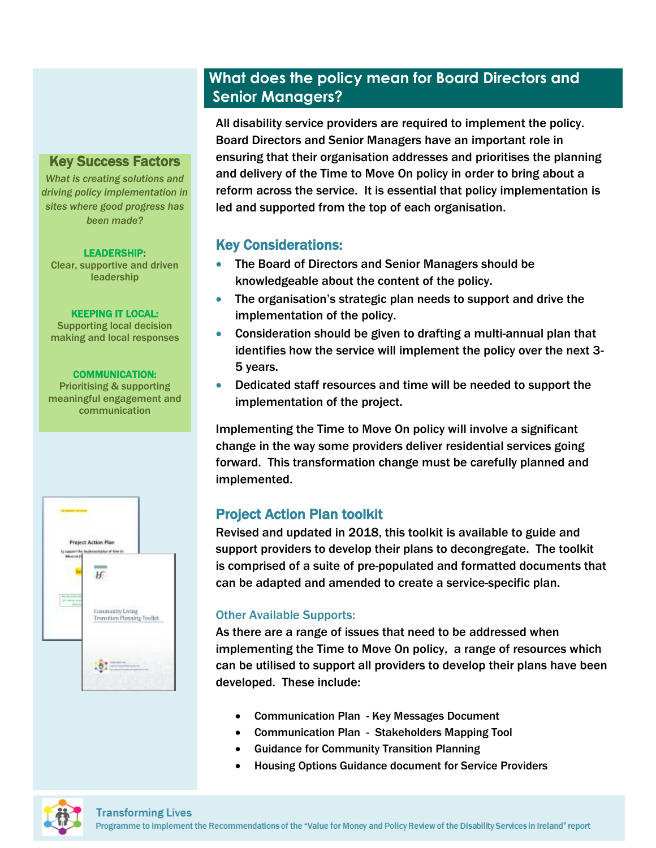# **What does the policy mean for Board Directors and Senior Managers?**

#### Key Success Factors

*What is creating solutions and driving policy implementation in sites where good progress has been made?*

#### LEADERSHIP:

Clear, supportive and driven leadership

#### KEEPING IT LOCAL:

Supporting local decision making and local responses

#### COMMUNICATION:

Prioritising & supporting meaningful engagement and communication



All disability service providers are required to implement the policy. Board Directors and Senior Managers have an important role in ensuring that their organisation addresses and prioritises the planning and delivery of the Time to Move On policy in order to bring about a reform across the service. It is essential that policy implementation is led and supported from the top of each organisation.

## Key Considerations:

- The Board of Directors and Senior Managers should be knowledgeable about the content of the policy.
- The organisation's strategic plan needs to support and drive the implementation of the policy.
- Consideration should be given to drafting a multi-annual plan that identifies how the service will implement the policy over the next 3- 5 years.
- Dedicated staff resources and time will be needed to support the implementation of the project.

Implementing the Time to Move On policy will involve a significant change in the way some providers deliver residential services going forward. This transformation change must be carefully planned and implemented.

## Project Action Plan toolkit

Revised and updated in 2018, this toolkit is available to guide and support providers to develop their plans to decongregate. The toolkit is comprised of a suite of pre-populated and formatted documents that can be adapted and amended to create a service-specific plan.

### Other Available Supports:

As there are a range of issues that need to be addressed when implementing the Time to Move On policy, a range of resources which can be utilised to support all providers to develop their plans have been developed. These include:

- Communication Plan Key Messages Document
- Communication Plan Stakeholders Mapping Tool
- Guidance for Community Transition Planning
- Housing Options Guidance document for Service Providers

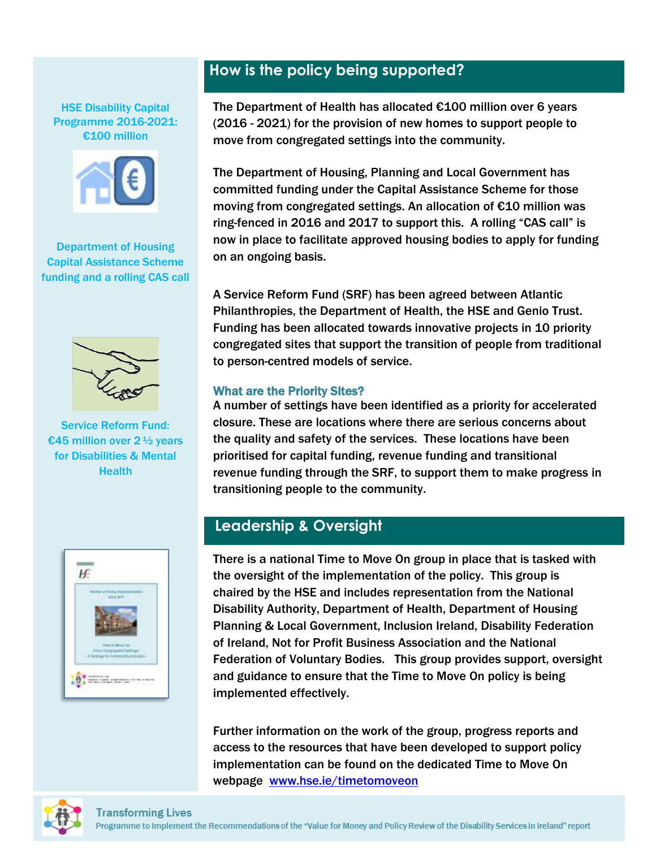HSE Disability Capital Programme 2016-2021: €100 million



Department of Housing Capital Assistance Scheme funding and a rolling CAS call



Service Reform Fund: €45 million over 2 ½ years for Disabilities & Mental **Health** 



# **How is the policy being supported?**

The Department of Health has allocated €100 million over 6 years (2016 - 2021) for the provision of new homes to support people to move from congregated settings into the community.

The Department of Housing, Planning and Local Government has committed funding under the Capital Assistance Scheme for those moving from congregated settings. An allocation of €10 million was ring-fenced in 2016 and 2017 to support this. A rolling "CAS call" is now in place to facilitate approved housing bodies to apply for funding on an ongoing basis.

A Service Reform Fund (SRF) has been agreed between Atlantic Philanthropies, the Department of Health, the HSE and Genio Trust. Funding has been allocated towards innovative projects in 10 priority congregated sites that support the transition of people from traditional to person-centred models of service.

#### What are the Priority Sites?

A number of settings have been identified as a priority for accelerated closure. These are locations where there are serious concerns about the quality and safety of the services. These locations have been prioritised for capital funding, revenue funding and transitional revenue funding through the SRF, to support them to make progress in transitioning people to the community.

# **Leadership & Oversight**

There is a national Time to Move On group in place that is tasked with the oversight of the implementation of the policy. This group is chaired by the HSE and includes representation from the National Disability Authority, Department of Health, Department of Housing Planning & Local Government, Inclusion Ireland, Disability Federation of Ireland, Not for Profit Business Association and the National Federation of Voluntary Bodies. This group provides support, oversight and guidance to ensure that the Time to Move On policy is being implemented effectively.

Further information on the work of the group, progress reports and access to the resources that have been developed to support policy implementation can be found on the dedicated Time to Move On webpage [www.hse.ie/timetomoveon](http://www.hse.ie/timetomoveon)